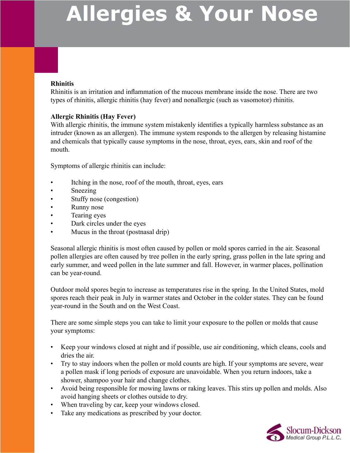### **Rhinitis**

Rhinitis is an irritation and inflammation of the mucous membrane inside the nose. There are two types of rhinitis, allergic rhinitis (hay fever) and nonallergic (such as vasomotor) rhinitis.

### **Allergic Rhinitis (Hay Fever)**

With allergic rhinitis, the immune system mistakenly identifies a typically harmless substance as an intruder (known as an allergen). The immune system responds to the allergen by releasing histamine and chemicals that typically cause symptoms in the nose, throat, eyes, ears, skin and roof of the mouth.

Symptoms of allergic rhinitis can include:

- Itching in the nose, roof of the mouth, throat, eyes, ears
- Sneezing
- Stuffy nose (congestion)
- Runny nose
- Tearing eyes
- Dark circles under the eyes
- Mucus in the throat (postnasal drip)

Seasonal allergic rhinitis is most often caused by pollen or mold spores carried in the air. Seasonal pollen allergies are often caused by tree pollen in the early spring, grass pollen in the late spring and early summer, and weed pollen in the late summer and fall. However, in warmer places, pollination can be year-round.

Outdoor mold spores begin to increase as temperatures rise in the spring. In the United States, mold spores reach their peak in July in warmer states and October in the colder states. They can be found year-round in the South and on the West Coast.

There are some simple steps you can take to limit your exposure to the pollen or molds that cause your symptoms:

- Keep your windows closed at night and if possible, use air conditioning, which cleans, cools and dries the air.
- Try to stay indoors when the pollen or mold counts are high. If your symptoms are severe, wear a pollen mask if long periods of exposure are unavoidable. When you return indoors, take a shower, shampoo your hair and change clothes.
- Avoid being responsible for mowing lawns or raking leaves. This stirs up pollen and molds. Also avoid hanging sheets or clothes outside to dry.
- When traveling by car, keep your windows closed.
- Take any medications as prescribed by your doctor.

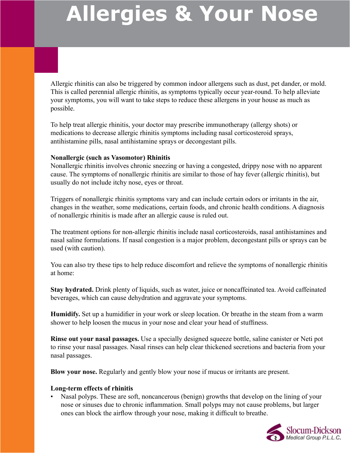Allergic rhinitis can also be triggered by common indoor allergens such as dust, pet dander, or mold. This is called perennial allergic rhinitis, as symptoms typically occur year-round. To help alleviate your symptoms, you will want to take steps to reduce these allergens in your house as much as possible.

To help treat allergic rhinitis, your doctor may prescribe immunotherapy (allergy shots) or medications to decrease allergic rhinitis symptoms including nasal corticosteroid sprays, antihistamine pills, nasal antihistamine sprays or decongestant pills.

#### **Nonallergic (such as Vasomotor) Rhinitis**

Nonallergic rhinitis involves chronic sneezing or having a congested, drippy nose with no apparent cause. The symptoms of nonallergic rhinitis are similar to those of hay fever (allergic rhinitis), but usually do not include itchy nose, eyes or throat.

Triggers of nonallergic rhinitis symptoms vary and can include certain odors or irritants in the air, changes in the weather, some medications, certain foods, and chronic health conditions. A diagnosis of nonallergic rhinitis is made after an allergic cause is ruled out.

The treatment options for non-allergic rhinitis include nasal corticosteroids, nasal antihistamines and nasal saline formulations. If nasal congestion is a major problem, decongestant pills or sprays can be used (with caution).

You can also try these tips to help reduce discomfort and relieve the symptoms of nonallergic rhinitis at home:

**Stay hydrated.** Drink plenty of liquids, such as water, juice or noncaffeinated tea. Avoid caffeinated beverages, which can cause dehydration and aggravate your symptoms.

**Humidify.** Set up a humidifier in your work or sleep location. Or breathe in the steam from a warm shower to help loosen the mucus in your nose and clear your head of stuffiness.

**Rinse out your nasal passages.** Use a specially designed squeeze bottle, saline canister or Neti pot to rinse your nasal passages. Nasal rinses can help clear thickened secretions and bacteria from your nasal passages.

**Blow your nose.** Regularly and gently blow your nose if mucus or irritants are present.

### **Long-term effects of rhinitis**

Nasal polyps. These are soft, noncancerous (benign) growths that develop on the lining of your nose or sinuses due to chronic inflammation. Small polyps may not cause problems, but larger ones can block the airflow through your nose, making it difficult to breathe.

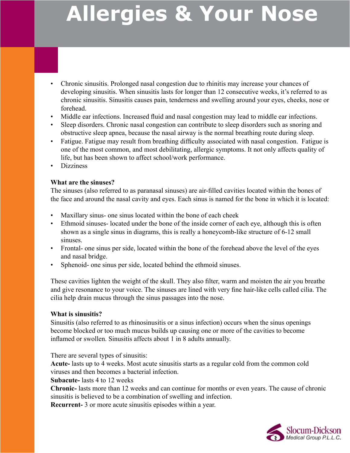- Chronic sinusitis. Prolonged nasal congestion due to rhinitis may increase your chances of developing sinusitis. When sinusitis lasts for longer than 12 consecutive weeks, it's referred to as chronic sinusitis. Sinusitis causes pain, tenderness and swelling around your eyes, cheeks, nose or forehead.
- Middle ear infections. Increased fluid and nasal congestion may lead to middle ear infections.
- Sleep disorders. Chronic nasal congestion can contribute to sleep disorders such as snoring and obstructive sleep apnea, because the nasal airway is the normal breathing route during sleep.
- Fatigue. Fatigue may result from breathing difficulty associated with nasal congestion. Fatigue is one of the most common, and most debilitating, allergic symptoms. It not only affects quality of life, but has been shown to affect school/work performance.
- Dizziness

### **What are the sinuses?**

The sinuses (also referred to as paranasal sinuses) are air-filled cavities located within the bones of the face and around the nasal cavity and eyes. Each sinus is named for the bone in which it is located:

- Maxillary sinus- one sinus located within the bone of each cheek
- Ethmoid sinuses- located under the bone of the inside corner of each eye, although this is often shown as a single sinus in diagrams, this is really a honeycomb-like structure of 6-12 small sinuses.
- Frontal- one sinus per side, located within the bone of the forehead above the level of the eyes and nasal bridge.
- Sphenoid- one sinus per side, located behind the ethmoid sinuses.

These cavities lighten the weight of the skull. They also filter, warm and moisten the air you breathe and give resonance to your voice. The sinuses are lined with very fine hair-like cells called cilia. The cilia help drain mucus through the sinus passages into the nose.

#### **What is sinusitis?**

Sinusitis (also referred to as rhinosinusitis or a sinus infection) occurs when the sinus openings become blocked or too much mucus builds up causing one or more of the cavities to become inflamed or swollen. Sinusitis affects about 1 in 8 adults annually.

There are several types of sinusitis:

**Acute-** lasts up to 4 weeks. Most acute sinusitis starts as a regular cold from the common cold viruses and then becomes a bacterial infection.

**Subacute-** lasts 4 to 12 weeks

**Chronic-** lasts more than 12 weeks and can continue for months or even years. The cause of chronic sinusitis is believed to be a combination of swelling and infection.

**Recurrent-** 3 or more acute sinusitis episodes within a year.

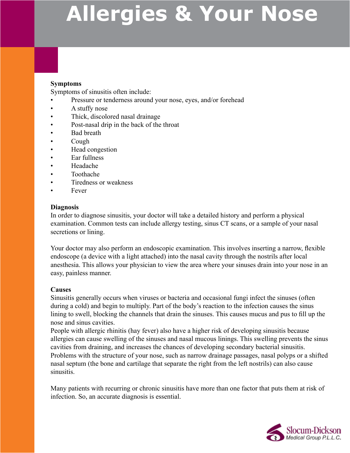### **Symptoms**

Symptoms of sinusitis often include:

- Pressure or tenderness around your nose, eyes, and/or forehead
- A stuffy nose
- Thick, discolored nasal drainage
- Post-nasal drip in the back of the throat
- Bad breath
- Cough
- Head congestion
- Ear fullness
- Headache
- Toothache
- Tiredness or weakness
- Fever

#### **Diagnosis**

In order to diagnose sinusitis, your doctor will take a detailed history and perform a physical examination. Common tests can include allergy testing, sinus CT scans, or a sample of your nasal secretions or lining.

Your doctor may also perform an endoscopic examination. This involves inserting a narrow, flexible endoscope (a device with a light attached) into the nasal cavity through the nostrils after local anesthesia. This allows your physician to view the area where your sinuses drain into your nose in an easy, painless manner.

#### **Causes**

Sinusitis generally occurs when viruses or bacteria and occasional fungi infect the sinuses (often during a cold) and begin to multiply. Part of the body's reaction to the infection causes the sinus lining to swell, blocking the channels that drain the sinuses. This causes mucus and pus to fill up the nose and sinus cavities.

People with allergic rhinitis (hay fever) also have a higher risk of developing sinusitis because allergies can cause swelling of the sinuses and nasal mucous linings. This swelling prevents the sinus cavities from draining, and increases the chances of developing secondary bacterial sinusitis. Problems with the structure of your nose, such as narrow drainage passages, nasal polyps or a shifted nasal septum (the bone and cartilage that separate the right from the left nostrils) can also cause sinusitis.

Many patients with recurring or chronic sinusitis have more than one factor that puts them at risk of infection. So, an accurate diagnosis is essential.

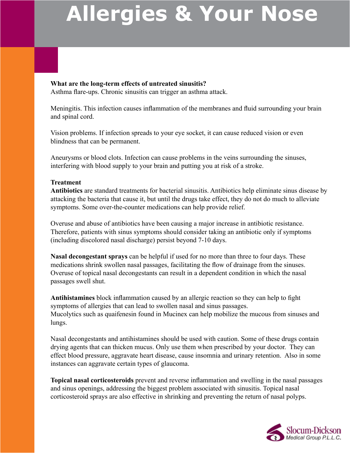#### **What are the long-term effects of untreated sinusitis?** Asthma flare-ups. Chronic sinusitis can trigger an asthma attack.

Meningitis. This infection causes inflammation of the membranes and fluid surrounding your brain and spinal cord.

Vision problems. If infection spreads to your eye socket, it can cause reduced vision or even blindness that can be permanent.

Aneurysms or blood clots. Infection can cause problems in the veins surrounding the sinuses, interfering with blood supply to your brain and putting you at risk of a stroke.

### **Treatment**

**Antibiotics** are standard treatments for bacterial sinusitis. Antibiotics help eliminate sinus disease by attacking the bacteria that cause it, but until the drugs take effect, they do not do much to alleviate symptoms. Some over-the-counter medications can help provide relief.

Overuse and abuse of antibiotics have been causing a major increase in antibiotic resistance. Therefore, patients with sinus symptoms should consider taking an antibiotic only if symptoms (including discolored nasal discharge) persist beyond 7-10 days.

**Nasal decongestant sprays** can be helpful if used for no more than three to four days. These medications shrink swollen nasal passages, facilitating the flow of drainage from the sinuses. Overuse of topical nasal decongestants can result in a dependent condition in which the nasal passages swell shut.

**Antihistamines** block inflammation caused by an allergic reaction so they can help to fight symptoms of allergies that can lead to swollen nasal and sinus passages. Mucolytics such as quaifenesin found in Mucinex can help mobilize the mucous from sinuses and lungs.

Nasal decongestants and antihistamines should be used with caution. Some of these drugs contain drying agents that can thicken mucus. Only use them when prescribed by your doctor. They can effect blood pressure, aggravate heart disease, cause insomnia and urinary retention. Also in some instances can aggravate certain types of glaucoma.

**Topical nasal corticosteroids** prevent and reverse inflammation and swelling in the nasal passages and sinus openings, addressing the biggest problem associated with sinusitis. Topical nasal corticosteroid sprays are also effective in shrinking and preventing the return of nasal polyps.